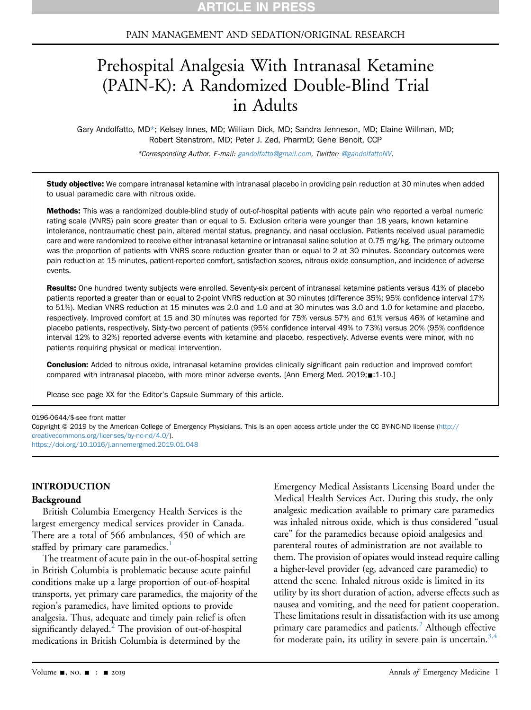#### PAIN MANAGEMENT AND SEDATION/ORIGINAL RESEARCH

# Prehospital Analgesia With Intranasal Ketamine (PAIN-K): A Randomized Double-Blind Trial in Adults

Gary Andolfatto, MD\*; Kelsey Innes, MD; William Dick, MD; Sandra Jenneson, MD; Elaine Willman, MD; Robert Stenstrom, MD; Peter J. Zed, PharmD; Gene Benoit, CCP

\*Corresponding Author. E-mail: [gandolfatto@gmail.com,](mailto:gandolfatto@gmail.com) Twitter: [@gandolfattoNV](https://twitter.com/gandolfattoNV).

Study objective: We compare intranasal ketamine with intranasal placebo in providing pain reduction at 30 minutes when added to usual paramedic care with nitrous oxide.

Methods: This was a randomized double-blind study of out-of-hospital patients with acute pain who reported a verbal numeric rating scale (VNRS) pain score greater than or equal to 5. Exclusion criteria were younger than 18 years, known ketamine intolerance, nontraumatic chest pain, altered mental status, pregnancy, and nasal occlusion. Patients received usual paramedic care and were randomized to receive either intranasal ketamine or intranasal saline solution at 0.75 mg/kg. The primary outcome was the proportion of patients with VNRS score reduction greater than or equal to 2 at 30 minutes. Secondary outcomes were pain reduction at 15 minutes, patient-reported comfort, satisfaction scores, nitrous oxide consumption, and incidence of adverse events.

Results: One hundred twenty subjects were enrolled. Seventy-six percent of intranasal ketamine patients versus 41% of placebo patients reported a greater than or equal to 2-point VNRS reduction at 30 minutes (difference 35%; 95% confidence interval 17% to 51%). Median VNRS reduction at 15 minutes was 2.0 and 1.0 and at 30 minutes was 3.0 and 1.0 for ketamine and placebo, respectively. Improved comfort at 15 and 30 minutes was reported for 75% versus 57% and 61% versus 46% of ketamine and placebo patients, respectively. Sixty-two percent of patients (95% confidence interval 49% to 73%) versus 20% (95% confidence interval 12% to 32%) reported adverse events with ketamine and placebo, respectively. Adverse events were minor, with no patients requiring physical or medical intervention.

Conclusion: Added to nitrous oxide, intranasal ketamine provides clinically significant pain reduction and improved comfort compared with intranasal placebo, with more minor adverse events. [Ann Emerg Med. 2019; :1-10.]

Please see page XX for the Editor's Capsule Summary of this article.

0196-0644/\$-see front matter

Copyright © 2019 by the American College of Emergency Physicians. This is an open access article under the CC BY-NC-ND license ([http://](http://creativecommons.org/licenses/by-nc-nd/4.0/) [creativecommons.org/licenses/by-nc-nd/4.0/\)](http://creativecommons.org/licenses/by-nc-nd/4.0/). <https://doi.org/10.1016/j.annemergmed.2019.01.048>

#### INTRODUCTION

#### Background

British Columbia Emergency Health Services is the largest emergency medical services provider in Canada. There are a total of 566 ambulances, 450 of which are staffed by primary care paramedics.<sup>[1](#page-8-0)</sup>

The treatment of acute pain in the out-of-hospital setting in British Columbia is problematic because acute painful conditions make up a large proportion of out-of-hospital transports, yet primary care paramedics, the majority of the region's paramedics, have limited options to provide analgesia. Thus, adequate and timely pain relief is often significantly delayed. $2$  The provision of out-of-hospital medications in British Columbia is determined by the

Emergency Medical Assistants Licensing Board under the Medical Health Services Act. During this study, the only analgesic medication available to primary care paramedics was inhaled nitrous oxide, which is thus considered "usual care" for the paramedics because opioid analgesics and parenteral routes of administration are not available to them. The provision of opiates would instead require calling a higher-level provider (eg, advanced care paramedic) to attend the scene. Inhaled nitrous oxide is limited in its utility by its short duration of action, adverse effects such as nausea and vomiting, and the need for patient cooperation. These limitations result in dissatisfaction with its use among primary care paramedics and patients.<sup>[2](#page-8-1)</sup> Although effective for moderate pain, its utility in severe pain is uncertain. $^{3,4}$  $^{3,4}$  $^{3,4}$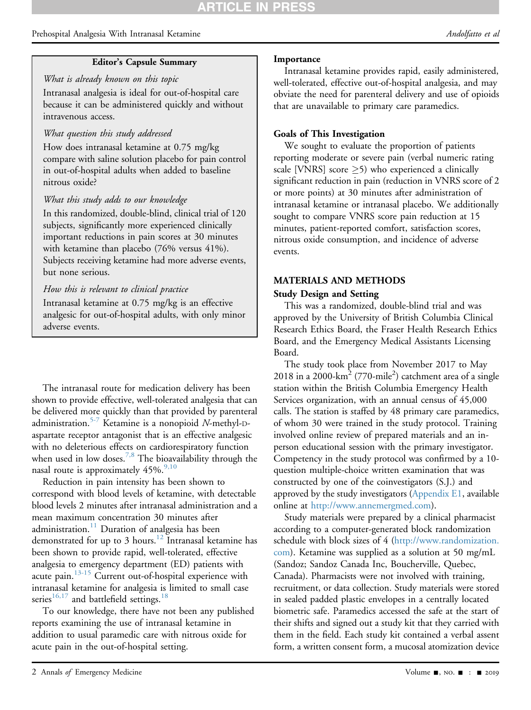#### Prehospital Analgesia With Intranasal Ketamine Andolfatto et al. Andolfatto et al.

#### Editor's Capsule Summary

What is already known on this topic

Intranasal analgesia is ideal for out-of-hospital care because it can be administered quickly and without intravenous access.

#### What question this study addressed

How does intranasal ketamine at 0.75 mg/kg compare with saline solution placebo for pain control in out-of-hospital adults when added to baseline nitrous oxide?

#### What this study adds to our knowledge

In this randomized, double-blind, clinical trial of 120 subjects, significantly more experienced clinically important reductions in pain scores at 30 minutes with ketamine than placebo (76% versus 41%). Subjects receiving ketamine had more adverse events, but none serious.

#### How this is relevant to clinical practice

Intranasal ketamine at 0.75 mg/kg is an effective analgesic for out-of-hospital adults, with only minor adverse events.

The intranasal route for medication delivery has been shown to provide effective, well-tolerated analgesia that can be delivered more quickly than that provided by parenteral administration.<sup>[5-7](#page-8-3)</sup> Ketamine is a nonopioid N-methyl-Daspartate receptor antagonist that is an effective analgesic with no deleterious effects on cardiorespiratory function when used in low doses.<sup>[7,8](#page-8-4)</sup> The bioavailability through the nasal route is approximately  $45\%$ .<sup>[9,10](#page-8-5)</sup>

Reduction in pain intensity has been shown to correspond with blood levels of ketamine, with detectable blood levels 2 minutes after intranasal administration and a mean maximum concentration 30 minutes after administration.<sup>[11](#page-8-6)</sup> Duration of analgesia has been demonstrated for up to 3 hours.<sup>12</sup> Intranasal ketamine has been shown to provide rapid, well-tolerated, effective analgesia to emergency department (ED) patients with acute pain. $13-15$  Current out-of-hospital experience with intranasal ketamine for analgesia is limited to small case series<sup>[16,17](#page-8-9)</sup> and battlefield settings.<sup>18</sup>

To our knowledge, there have not been any published reports examining the use of intranasal ketamine in addition to usual paramedic care with nitrous oxide for acute pain in the out-of-hospital setting.

#### Importance

Intranasal ketamine provides rapid, easily administered, well-tolerated, effective out-of-hospital analgesia, and may obviate the need for parenteral delivery and use of opioids that are unavailable to primary care paramedics.

#### Goals of This Investigation

We sought to evaluate the proportion of patients reporting moderate or severe pain (verbal numeric rating scale [VNRS] score  $\geq$ 5) who experienced a clinically significant reduction in pain (reduction in VNRS score of 2 or more points) at 30 minutes after administration of intranasal ketamine or intranasal placebo. We additionally sought to compare VNRS score pain reduction at 15 minutes, patient-reported comfort, satisfaction scores, nitrous oxide consumption, and incidence of adverse events.

#### MATERIALS AND METHODS

#### Study Design and Setting

This was a randomized, double-blind trial and was approved by the University of British Columbia Clinical Research Ethics Board, the Fraser Health Research Ethics Board, and the Emergency Medical Assistants Licensing Board.

The study took place from November 2017 to May 2018 in a 2000-km<sup>2</sup> (770-mile<sup>2</sup>) catchment area of a single station within the British Columbia Emergency Health Services organization, with an annual census of 45,000 calls. The station is staffed by 48 primary care paramedics, of whom 30 were trained in the study protocol. Training involved online review of prepared materials and an inperson educational session with the primary investigator. Competency in the study protocol was confirmed by a 10 question multiple-choice written examination that was constructed by one of the coinvestigators (S.J.) and approved by the study investigators (Appendix E1, available online at [http://www.annemergmed.com\)](http://www.annemergmed.com).

Study materials were prepared by a clinical pharmacist according to a computer-generated block randomization schedule with block sizes of 4 ([http://www.randomization.](http://www.randomization.com) [com\)](http://www.randomization.com). Ketamine was supplied as a solution at 50 mg/mL (Sandoz; Sandoz Canada Inc, Boucherville, Quebec, Canada). Pharmacists were not involved with training, recruitment, or data collection. Study materials were stored in sealed padded plastic envelopes in a centrally located biometric safe. Paramedics accessed the safe at the start of their shifts and signed out a study kit that they carried with them in the field. Each study kit contained a verbal assent form, a written consent form, a mucosal atomization device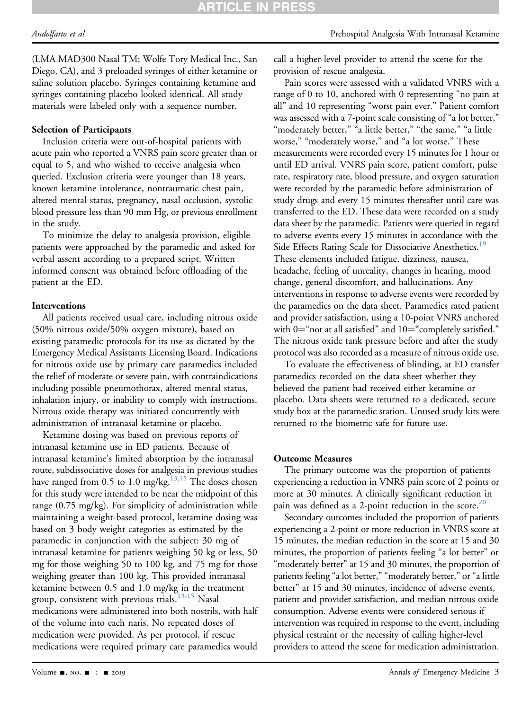(LMA MAD300 Nasal TM; Wolfe Tory Medical Inc., San Diego, CA), and 3 preloaded syringes of either ketamine or saline solution placebo. Syringes containing ketamine and syringes containing placebo looked identical. All study materials were labeled only with a sequence number.

#### Selection of Participants

Inclusion criteria were out-of-hospital patients with acute pain who reported a VNRS pain score greater than or equal to 5, and who wished to receive analgesia when queried. Exclusion criteria were younger than 18 years, known ketamine intolerance, nontraumatic chest pain, altered mental status, pregnancy, nasal occlusion, systolic blood pressure less than 90 mm Hg, or previous enrollment in the study.

To minimize the delay to analgesia provision, eligible patients were approached by the paramedic and asked for verbal assent according to a prepared script. Written informed consent was obtained before offloading of the patient at the ED.

#### Interventions

All patients received usual care, including nitrous oxide (50% nitrous oxide/50% oxygen mixture), based on existing paramedic protocols for its use as dictated by the Emergency Medical Assistants Licensing Board. Indications for nitrous oxide use by primary care paramedics included the relief of moderate or severe pain, with contraindications including possible pneumothorax, altered mental status, inhalation injury, or inability to comply with instructions. Nitrous oxide therapy was initiated concurrently with administration of intranasal ketamine or placebo.

Ketamine dosing was based on previous reports of intranasal ketamine use in ED patients. Because of intranasal ketamine's limited absorption by the intranasal route, subdissociative doses for analgesia in previous studies have ranged from  $0.5$  to  $1.0$  mg/kg.<sup>13,15</sup> The doses chosen for this study were intended to be near the midpoint of this range (0.75 mg/kg). For simplicity of administration while maintaining a weight-based protocol, ketamine dosing was based on 3 body weight categories as estimated by the paramedic in conjunction with the subject: 30 mg of intranasal ketamine for patients weighing 50 kg or less, 50 mg for those weighing 50 to 100 kg, and 75 mg for those weighing greater than 100 kg. This provided intranasal ketamine between 0.5 and 1.0 mg/kg in the treatment group, consistent with previous trials.<sup>13-15</sup> Nasal medications were administered into both nostrils, with half of the volume into each naris. No repeated doses of medication were provided. As per protocol, if rescue medications were required primary care paramedics would call a higher-level provider to attend the scene for the provision of rescue analgesia.

Pain scores were assessed with a validated VNRS with a range of 0 to 10, anchored with 0 representing "no pain at all" and 10 representing "worst pain ever." Patient comfort was assessed with a 7-point scale consisting of "a lot better," "moderately better," "a little better," "the same," "a little worse," "moderately worse," and "a lot worse." These measurements were recorded every 15 minutes for 1 hour or until ED arrival. VNRS pain score, patient comfort, pulse rate, respiratory rate, blood pressure, and oxygen saturation were recorded by the paramedic before administration of study drugs and every 15 minutes thereafter until care was transferred to the ED. These data were recorded on a study data sheet by the paramedic. Patients were queried in regard to adverse events every 15 minutes in accordance with the Side Effects Rating Scale for Dissociative Anesthetics.<sup>[19](#page-8-11)</sup> These elements included fatigue, dizziness, nausea, headache, feeling of unreality, changes in hearing, mood change, general discomfort, and hallucinations. Any interventions in response to adverse events were recorded by the paramedics on the data sheet. Paramedics rated patient and provider satisfaction, using a 10-point VNRS anchored with  $0$ ="not at all satisfied" and  $10$ ="completely satisfied." The nitrous oxide tank pressure before and after the study protocol was also recorded as a measure of nitrous oxide use.

To evaluate the effectiveness of blinding, at ED transfer paramedics recorded on the data sheet whether they believed the patient had received either ketamine or placebo. Data sheets were returned to a dedicated, secure study box at the paramedic station. Unused study kits were returned to the biometric safe for future use.

#### Outcome Measures

The primary outcome was the proportion of patients experiencing a reduction in VNRS pain score of 2 points or more at 30 minutes. A clinically significant reduction in pain was defined as a 2-point reduction in the score.<sup>20</sup>

Secondary outcomes included the proportion of patients experiencing a 2-point or more reduction in VNRS score at 15 minutes, the median reduction in the score at 15 and 30 minutes, the proportion of patients feeling "a lot better" or "moderately better" at 15 and 30 minutes, the proportion of patients feeling "a lot better," "moderately better," or "a little better" at 15 and 30 minutes, incidence of adverse events, patient and provider satisfaction, and median nitrous oxide consumption. Adverse events were considered serious if intervention was required in response to the event, including physical restraint or the necessity of calling higher-level providers to attend the scene for medication administration.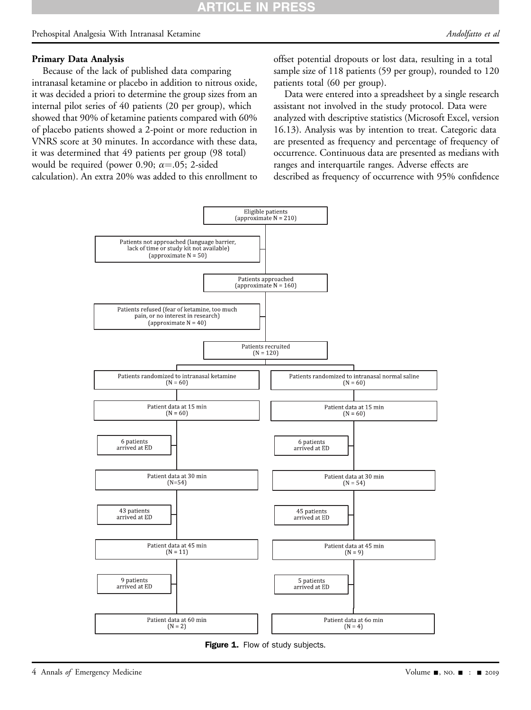#### Prehospital Analgesia With Intranasal Ketamine Andolfatto et al

#### Primary Data Analysis

Because of the lack of published data comparing intranasal ketamine or placebo in addition to nitrous oxide, it was decided a priori to determine the group sizes from an internal pilot series of 40 patients (20 per group), which showed that 90% of ketamine patients compared with 60% of placebo patients showed a 2-point or more reduction in VNRS score at 30 minutes. In accordance with these data, it was determined that 49 patients per group (98 total) would be required (power 0.90;  $\alpha = .05$ ; 2-sided calculation). An extra 20% was added to this enrollment to offset potential dropouts or lost data, resulting in a total sample size of 118 patients (59 per group), rounded to 120 patients total (60 per group).

Data were entered into a spreadsheet by a single research assistant not involved in the study protocol. Data were analyzed with descriptive statistics (Microsoft Excel, version 16.13). Analysis was by intention to treat. Categoric data are presented as frequency and percentage of frequency of occurrence. Continuous data are presented as medians with ranges and interquartile ranges. Adverse effects are described as frequency of occurrence with 95% confidence

<span id="page-3-0"></span>

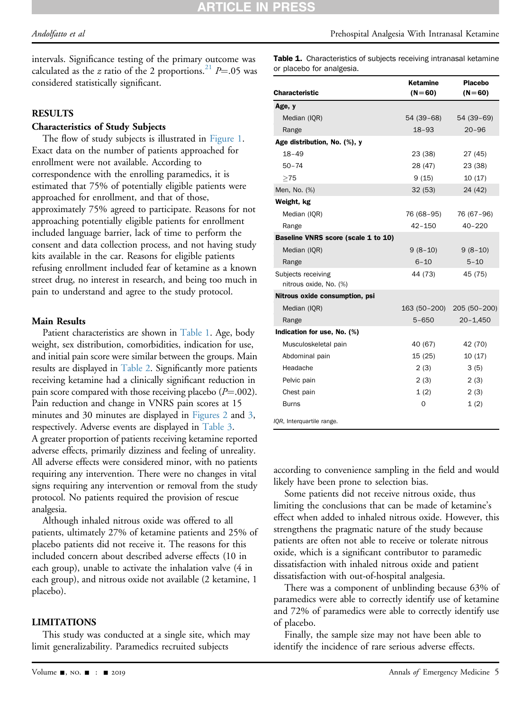intervals. Significance testing of the primary outcome was calculated as the z ratio of the 2 proportions.<sup>[21](#page-9-0)</sup>  $P = .05$  was considered statistically significant.

#### RESULTS

#### Characteristics of Study Subjects

The flow of study subjects is illustrated in [Figure 1.](#page-3-0) Exact data on the number of patients approached for enrollment were not available. According to correspondence with the enrolling paramedics, it is estimated that 75% of potentially eligible patients were approached for enrollment, and that of those, approximately 75% agreed to participate. Reasons for not approaching potentially eligible patients for enrollment included language barrier, lack of time to perform the consent and data collection process, and not having study kits available in the car. Reasons for eligible patients refusing enrollment included fear of ketamine as a known street drug, no interest in research, and being too much in pain to understand and agree to the study protocol.

#### Main Results

Patient characteristics are shown in [Table 1](#page-4-0). Age, body weight, sex distribution, comorbidities, indication for use, and initial pain score were similar between the groups. Main results are displayed in [Table 2.](#page-5-0) Significantly more patients receiving ketamine had a clinically significant reduction in pain score compared with those receiving placebo  $(P=.002)$ . Pain reduction and change in VNRS pain scores at 15 minutes and 30 minutes are displayed in [Figures 2](#page-6-0) and [3,](#page-7-0) respectively. Adverse events are displayed in [Table 3.](#page-7-1) A greater proportion of patients receiving ketamine reported adverse effects, primarily dizziness and feeling of unreality. All adverse effects were considered minor, with no patients requiring any intervention. There were no changes in vital signs requiring any intervention or removal from the study protocol. No patients required the provision of rescue analgesia.

Although inhaled nitrous oxide was offered to all patients, ultimately 27% of ketamine patients and 25% of placebo patients did not receive it. The reasons for this included concern about described adverse effects (10 in each group), unable to activate the inhalation valve (4 in each group), and nitrous oxide not available (2 ketamine, 1 placebo).

#### LIMITATIONS

This study was conducted at a single site, which may limit generalizability. Paramedics recruited subjects

Table 1. Characteristics of subjects receiving intranasal ketamine or placebo for analgesia.

| <b>Characteristic</b>                        | <b>Ketamine</b><br>$(N=60)$ | <b>Placebo</b><br>$(N = 60)$ |
|----------------------------------------------|-----------------------------|------------------------------|
| Age, y                                       |                             |                              |
| Median (IQR)                                 | 54 (39-68)                  | 54 (39-69)                   |
| Range                                        | $18 - 93$                   | $20 - 96$                    |
| Age distribution, No. (%), y                 |                             |                              |
| $18 - 49$                                    | 23 (38)                     | 27 (45)                      |
| $50 - 74$                                    | 28 (47)                     | 23 (38)                      |
| >75                                          | 9(15)                       | 10(17)                       |
| Men, No. (%)                                 | 32(53)                      | 24 (42)                      |
| Weight, kg                                   |                             |                              |
| Median (IQR)                                 | 76 (68–95)                  | 76 (67-96)                   |
| Range                                        | 42-150                      | $40 - 220$                   |
| Baseline VNRS score (scale 1 to 10)          |                             |                              |
| Median (IQR)                                 | $9(8-10)$                   | $9(8-10)$                    |
| Range                                        | $6 - 10$                    | $5 - 10$                     |
| Subjects receiving<br>nitrous oxide, No. (%) | 44 (73)                     | 45 (75)                      |
| Nitrous oxide consumption, psi               |                             |                              |
| Median (IQR)                                 | 163 (50-200)                | 205 (50-200)                 |
| Range                                        | 5-650                       | $20 - 1,450$                 |
| Indication for use, No. (%)                  |                             |                              |
| Musculoskeletal pain                         | 40 (67)                     | 42 (70)                      |
| Abdominal pain                               | 15(25)                      | 10(17)                       |
| Headache                                     | 2(3)                        | 3(5)                         |
| Pelvic pain                                  | 2(3)                        | 2(3)                         |
| Chest pain                                   | 1(2)                        | 2(3)                         |
| <b>Burns</b>                                 | 0                           | 1(2)                         |
| IOR, Interquartile range.                    |                             |                              |

<span id="page-4-0"></span>according to convenience sampling in the field and would likely have been prone to selection bias.

Some patients did not receive nitrous oxide, thus limiting the conclusions that can be made of ketamine's effect when added to inhaled nitrous oxide. However, this strengthens the pragmatic nature of the study because patients are often not able to receive or tolerate nitrous oxide, which is a significant contributor to paramedic dissatisfaction with inhaled nitrous oxide and patient dissatisfaction with out-of-hospital analgesia.

There was a component of unblinding because 63% of paramedics were able to correctly identify use of ketamine and 72% of paramedics were able to correctly identify use of placebo.

Finally, the sample size may not have been able to identify the incidence of rare serious adverse effects.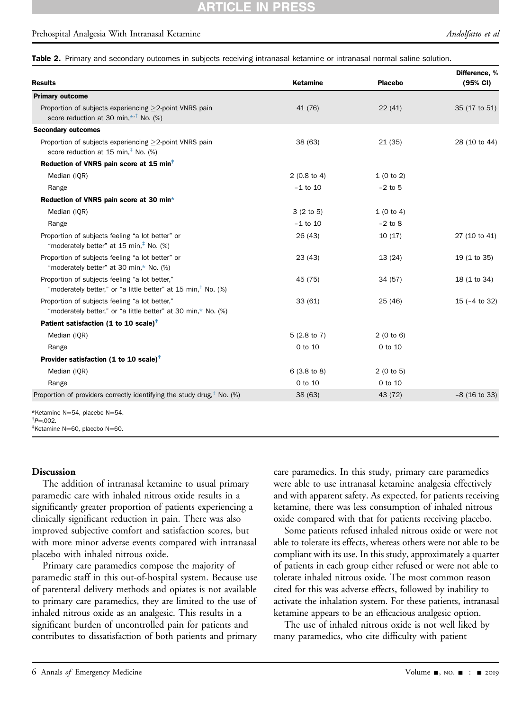## RTICLE IN

#### Prehospital Analgesia With Intranasal Ketamine Andolfatto et al. Andolfatto et al.

<span id="page-5-0"></span>Table 2. Primary and secondary outcomes in subjects receiving intranasal ketamine or intranasal normal saline solution.

| <b>Results</b>                                                                                                               | Ketamine               | <b>Placebo</b> | Difference, %<br>(95% CI) |
|------------------------------------------------------------------------------------------------------------------------------|------------------------|----------------|---------------------------|
| <b>Primary outcome</b>                                                                                                       |                        |                |                           |
| Proportion of subjects experiencing ≥2-point VNRS pain<br>score reduction at 30 min, $\star$ <sup>++</sup> No. (%)           | 41 (76)                | 22(41)         | 35 (17 to 51)             |
| <b>Secondary outcomes</b>                                                                                                    |                        |                |                           |
| Proportion of subjects experiencing >2-point VNRS pain<br>score reduction at 15 min, $*$ No. (%)                             | 38 (63)                | 21(35)         | 28 (10 to 44)             |
| Reduction of VNRS pain score at 15 min <sup>*</sup>                                                                          |                        |                |                           |
| Median (IQR)                                                                                                                 | $2(0.8 \text{ to } 4)$ | 1(0 to 2)      |                           |
| Range                                                                                                                        | $-1$ to 10             | $-2$ to 5      |                           |
| Reduction of VNRS pain score at 30 min*                                                                                      |                        |                |                           |
| Median (IQR)                                                                                                                 | 3(2 to 5)              | 1(0 to 4)      |                           |
| Range                                                                                                                        | $-1$ to 10             | $-2$ to $8$    |                           |
| Proportion of subjects feeling "a lot better" or<br>"moderately better" at 15 min, $*$ No. (%)                               | 26(43)                 | 10(17)         | 27 (10 to 41)             |
| Proportion of subjects feeling "a lot better" or<br>"moderately better" at 30 min,* No. (%)                                  | 23(43)                 | 13 (24)        | 19 (1 to 35)              |
| Proportion of subjects feeling "a lot better,"<br>"moderately better," or "a little better" at 15 min, $\frac{1}{2}$ No. (%) | 45 (75)                | 34 (57)        | 18 (1 to 34)              |
| Proportion of subjects feeling "a lot better,"<br>"moderately better," or "a little better" at 30 min,* No. (%)              | 33(61)                 | 25(46)         | $15(-4 \text{ to } 32)$   |
| Patient satisfaction (1 to 10 scale) <sup>*</sup>                                                                            |                        |                |                           |
| Median (IQR)                                                                                                                 | $5(2.8 \text{ to } 7)$ | 2(0 to 6)      |                           |
| Range                                                                                                                        | 0 to 10                | 0 to 10        |                           |
| Provider satisfaction (1 to 10 scale) <sup>†</sup>                                                                           |                        |                |                           |
| Median (IQR)                                                                                                                 | $6(3.8 \text{ to } 8)$ | 2(0 to 5)      |                           |
| Range                                                                                                                        | 0 to 10                | 0 to 10        |                           |
| Proportion of providers correctly identifying the study drug, $^{\ddagger}$ No. (%)                                          | 38 (63)                | 43 (72)        | $-8(16 \text{ to } 33)$   |
| *Ketamine N=54, placebo N=54.<br>$+P = 002$ .<br><sup>‡</sup> Ketamine N=60, placebo N=60.                                   |                        |                |                           |

#### <span id="page-5-3"></span><span id="page-5-2"></span><span id="page-5-1"></span>**Discussion**

The addition of intranasal ketamine to usual primary paramedic care with inhaled nitrous oxide results in a significantly greater proportion of patients experiencing a clinically significant reduction in pain. There was also improved subjective comfort and satisfaction scores, but with more minor adverse events compared with intranasal placebo with inhaled nitrous oxide.

Primary care paramedics compose the majority of paramedic staff in this out-of-hospital system. Because use of parenteral delivery methods and opiates is not available to primary care paramedics, they are limited to the use of inhaled nitrous oxide as an analgesic. This results in a significant burden of uncontrolled pain for patients and contributes to dissatisfaction of both patients and primary care paramedics. In this study, primary care paramedics were able to use intranasal ketamine analgesia effectively and with apparent safety. As expected, for patients receiving ketamine, there was less consumption of inhaled nitrous oxide compared with that for patients receiving placebo.

Some patients refused inhaled nitrous oxide or were not able to tolerate its effects, whereas others were not able to be compliant with its use. In this study, approximately a quarter of patients in each group either refused or were not able to tolerate inhaled nitrous oxide. The most common reason cited for this was adverse effects, followed by inability to activate the inhalation system. For these patients, intranasal ketamine appears to be an efficacious analgesic option.

The use of inhaled nitrous oxide is not well liked by many paramedics, who cite difficulty with patient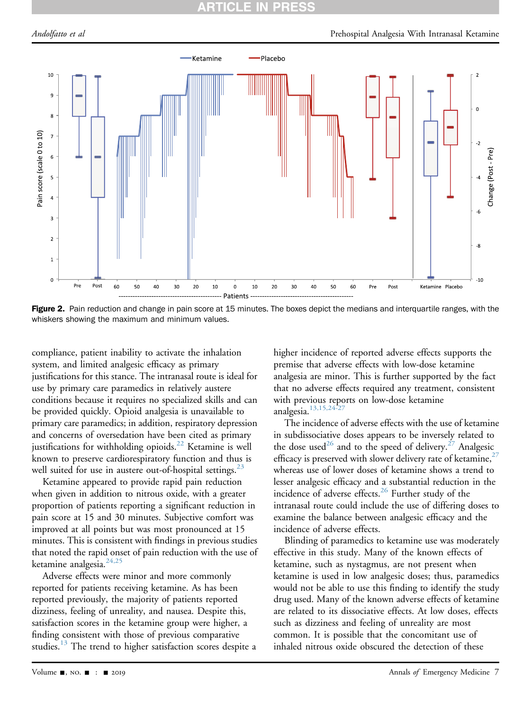### PRES

<span id="page-6-0"></span>

Figure 2. Pain reduction and change in pain score at 15 minutes. The boxes depict the medians and interquartile ranges, with the whiskers showing the maximum and minimum values.

compliance, patient inability to activate the inhalation system, and limited analgesic efficacy as primary justifications for this stance. The intranasal route is ideal for use by primary care paramedics in relatively austere conditions because it requires no specialized skills and can be provided quickly. Opioid analgesia is unavailable to primary care paramedics; in addition, respiratory depression and concerns of oversedation have been cited as primary justifications for withholding opioids.<sup>[22](#page-9-1)</sup> Ketamine is well known to preserve cardiorespiratory function and thus is well suited for use in austere out-of-hospital settings.<sup>[23](#page-9-2)</sup>

Ketamine appeared to provide rapid pain reduction when given in addition to nitrous oxide, with a greater proportion of patients reporting a significant reduction in pain score at 15 and 30 minutes. Subjective comfort was improved at all points but was most pronounced at 15 minutes. This is consistent with findings in previous studies that noted the rapid onset of pain reduction with the use of ketamine analgesia.<sup>[24,25](#page-9-3)</sup>

Adverse effects were minor and more commonly reported for patients receiving ketamine. As has been reported previously, the majority of patients reported dizziness, feeling of unreality, and nausea. Despite this, satisfaction scores in the ketamine group were higher, a finding consistent with those of previous comparative studies.<sup>13</sup> The trend to higher satisfaction scores despite a

higher incidence of reported adverse effects supports the premise that adverse effects with low-dose ketamine analgesia are minor. This is further supported by the fact that no adverse effects required any treatment, consistent with previous reports on low-dose ketamine analgesia.[13,15,24-27](#page-8-8)

The incidence of adverse effects with the use of ketamine in subdissociative doses appears to be inversely related to the dose used<sup>[26](#page-9-4)</sup> and to the speed of delivery.<sup>[27](#page-9-5)</sup> Analgesic efficacy is preserved with slower delivery rate of ketamine,  $27$ whereas use of lower doses of ketamine shows a trend to lesser analgesic efficacy and a substantial reduction in the incidence of adverse effects.[26](#page-9-4) Further study of the intranasal route could include the use of differing doses to examine the balance between analgesic efficacy and the incidence of adverse effects.

Blinding of paramedics to ketamine use was moderately effective in this study. Many of the known effects of ketamine, such as nystagmus, are not present when ketamine is used in low analgesic doses; thus, paramedics would not be able to use this finding to identify the study drug used. Many of the known adverse effects of ketamine are related to its dissociative effects. At low doses, effects such as dizziness and feeling of unreality are most common. It is possible that the concomitant use of inhaled nitrous oxide obscured the detection of these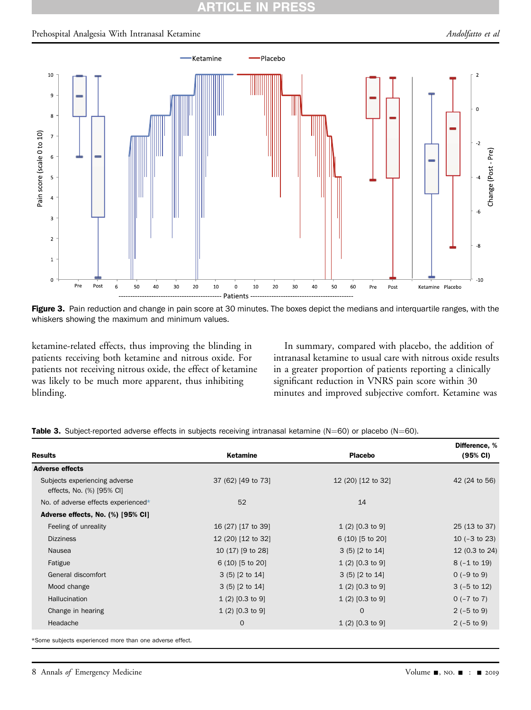### RTICLE I

#### <span id="page-7-0"></span>Prehospital Analgesia With Intranasal Ketamine Andolfatto et al



Figure 3. Pain reduction and change in pain score at 30 minutes. The boxes depict the medians and interquartile ranges, with the whiskers showing the maximum and minimum values.

ketamine-related effects, thus improving the blinding in patients receiving both ketamine and nitrous oxide. For patients not receiving nitrous oxide, the effect of ketamine was likely to be much more apparent, thus inhibiting blinding.

In summary, compared with placebo, the addition of intranasal ketamine to usual care with nitrous oxide results in a greater proportion of patients reporting a clinically significant reduction in VNRS pain score within 30 minutes and improved subjective comfort. Ketamine was

<span id="page-7-1"></span>

|  | Table 3. Subject-reported adverse effects in subjects receiving intranasal ketamine ( $N=60$ ) or placebo ( $N=60$ ). |  |  |  |  |  |  |  |  |  |
|--|-----------------------------------------------------------------------------------------------------------------------|--|--|--|--|--|--|--|--|--|
|--|-----------------------------------------------------------------------------------------------------------------------|--|--|--|--|--|--|--|--|--|

| <b>Results</b>                                             | Ketamine           | <b>Placebo</b>     | Difference, %<br>$(95% \text{ CI})$ |
|------------------------------------------------------------|--------------------|--------------------|-------------------------------------|
| <b>Adverse effects</b>                                     |                    |                    |                                     |
| Subjects experiencing adverse<br>effects, No. (%) [95% CI] | 37 (62) [49 to 73] | 12 (20) [12 to 32] | 42 (24 to 56)                       |
| No. of adverse effects experienced*                        | 52                 | 14                 |                                     |
| Adverse effects, No. (%) [95% CI]                          |                    |                    |                                     |
| Feeling of unreality                                       | 16 (27) [17 to 39] | $1(2)$ [0.3 to 9]  | 25 (13 to 37)                       |
| <b>Dizziness</b>                                           | 12 (20) [12 to 32] | $6(10)$ [5 to 20]  | 10 $(-3 \text{ to } 23)$            |
| Nausea                                                     | 10 (17) [9 to 28]  | $3(5)$ [2 to 14]   | 12 $(0.3 \text{ to } 24)$           |
| Fatigue                                                    | $6(10)$ [5 to 20]  | $1(2)$ [0.3 to 9]  | $8(-1 to 19)$                       |
| General discomfort                                         | $3(5)$ [2 to 14]   | $3(5)$ [2 to 14]   | $0$ (-9 to 9)                       |
| Mood change                                                | $3(5)$ [2 to 14]   | $1(2)$ [0.3 to 9]  | $3(-5 \text{ to } 12)$              |
| Hallucination                                              | $1(2)$ [0.3 to 9]  | $1(2)$ [0.3 to 9]  | $0$ ( $-7$ to $7$ )                 |
| Change in hearing                                          | $1(2)$ [0.3 to 9]  | $\mathbf{O}$       | $2(-5 to 9)$                        |
| Headache                                                   | $\mathbf 0$        | $1(2)$ [0.3 to 9]  | $2(-5 to 9)$                        |
|                                                            |                    |                    |                                     |

<span id="page-7-2"></span>\*Some subjects experienced more than one adverse effect.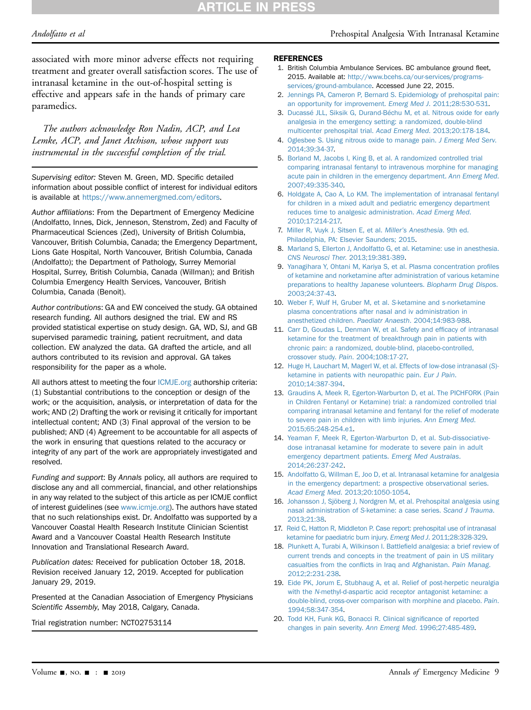associated with more minor adverse effects not requiring treatment and greater overall satisfaction scores. The use of intranasal ketamine in the out-of-hospital setting is effective and appears safe in the hands of primary care paramedics.

The authors acknowledge Ron Nadin, ACP, and Lea Lemke, ACP, and Janet Atchison, whose support was instrumental in the successful completion of the trial.

Supervising editor: Steven M. Green, MD. Specific detailed information about possible conflict of interest for individual editors is available at <https://www.annemergmed.com/editors>.

Author affiliations: From the Department of Emergency Medicine (Andolfatto, Innes, Dick, Jenneson, Stenstrom, Zed) and Faculty of Pharmaceutical Sciences (Zed), University of British Columbia, Vancouver, British Columbia, Canada; the Emergency Department, Lions Gate Hospital, North Vancouver, British Columbia, Canada (Andolfatto); the Department of Pathology, Surrey Memorial Hospital, Surrey, British Columbia, Canada (Willman); and British Columbia Emergency Health Services, Vancouver, British Columbia, Canada (Benoit).

Author contributions: GA and EW conceived the study. GA obtained research funding. All authors designed the trial. EW and RS provided statistical expertise on study design. GA, WD, SJ, and GB supervised paramedic training, patient recruitment, and data collection. EW analyzed the data. GA drafted the article, and all authors contributed to its revision and approval. GA takes responsibility for the paper as a whole.

All authors attest to meeting the four [ICMJE.org](http://ICMJE.org) authorship criteria: (1) Substantial contributions to the conception or design of the work; or the acquisition, analysis, or interpretation of data for the work; AND (2) Drafting the work or revising it critically for important intellectual content; AND (3) Final approval of the version to be published; AND (4) Agreement to be accountable for all aspects of the work in ensuring that questions related to the accuracy or integrity of any part of the work are appropriately investigated and resolved.

Funding and support: By Annals policy, all authors are required to disclose any and all commercial, financial, and other relationships in any way related to the subject of this article as per ICMJE conflict of interest guidelines (see [www.icmje.org\)](http://www.icmje.org). The authors have stated that no such relationships exist. Dr. Andolfatto was supported by a Vancouver Coastal Health Research Institute Clinician Scientist Award and a Vancouver Coastal Health Research Institute Innovation and Translational Research Award.

Publication dates: Received for publication October 18, 2018. Revision received January 12, 2019. Accepted for publication January 29, 2019.

Presented at the Canadian Association of Emergency Physicians Scientific Assembly, May 2018, Calgary, Canada.

Trial registration number: NCT02753114

#### REFERENCES

- <span id="page-8-0"></span>1. British Columbia Ambulance Services. BC ambulance ground fleet, 2015. Available at: [http://www.bcehs.ca/our-services/programs](http://www.bcehs.ca/our-services/programs-services/ground-ambulance)[services/ground-ambulance.](http://www.bcehs.ca/our-services/programs-services/ground-ambulance) Accessed June 22, 2015.
- <span id="page-8-1"></span>2. [Jennings PA, Cameron P, Bernard S. Epidemiology of prehospital pain:](http://refhub.elsevier.com/S0196-0644(19)30102-7/sref2) [an opportunity for improvement.](http://refhub.elsevier.com/S0196-0644(19)30102-7/sref2) Emerg Med J. 2011;28:530-531.
- <span id="page-8-2"></span>3. [Ducassé JLL, Siksik G, Durand-Béchu M, et al. Nitrous oxide for early](http://refhub.elsevier.com/S0196-0644(19)30102-7/sref3) [analgesia in the emergency setting: a randomized, double-blind](http://refhub.elsevier.com/S0196-0644(19)30102-7/sref3) [multicenter prehospital trial.](http://refhub.elsevier.com/S0196-0644(19)30102-7/sref3) Acad Emerg Med. 2013;20:178-184.
- 4. [Oglesbee S. Using nitrous oxide to manage pain.](http://refhub.elsevier.com/S0196-0644(19)30102-7/sref4) J Emerg Med Serv. [2014;39:34-37.](http://refhub.elsevier.com/S0196-0644(19)30102-7/sref4)
- <span id="page-8-3"></span>5. [Borland M, Jacobs I, King B, et al. A randomized controlled trial](http://refhub.elsevier.com/S0196-0644(19)30102-7/sref5) [comparing intranasal fentanyl to intravenous morphine for managing](http://refhub.elsevier.com/S0196-0644(19)30102-7/sref5) [acute pain in children in the emergency department.](http://refhub.elsevier.com/S0196-0644(19)30102-7/sref5) Ann Emerg Med. [2007;49:335-340](http://refhub.elsevier.com/S0196-0644(19)30102-7/sref5).
- 6. [Holdgate A, Cao A, Lo KM. The implementation of intranasal fentanyl](http://refhub.elsevier.com/S0196-0644(19)30102-7/sref6) [for children in a mixed adult and pediatric emergency department](http://refhub.elsevier.com/S0196-0644(19)30102-7/sref6) [reduces time to analgesic administration.](http://refhub.elsevier.com/S0196-0644(19)30102-7/sref6) Acad Emerg Med. [2010;17:214-217.](http://refhub.elsevier.com/S0196-0644(19)30102-7/sref6)
- <span id="page-8-4"></span>7. [Miller R, Vuyk J, Sitsen E, et al.](http://refhub.elsevier.com/S0196-0644(19)30102-7/sref7) Miller's Anesthesia. 9th ed. [Philadelphia, PA: Elsevier Saunders; 2015](http://refhub.elsevier.com/S0196-0644(19)30102-7/sref7).
- 8. [Marland S, Ellerton J, Andolfatto G, et al. Ketamine: use in anesthesia.](http://refhub.elsevier.com/S0196-0644(19)30102-7/sref8) CNS Neurosci Ther[. 2013;19:381-389.](http://refhub.elsevier.com/S0196-0644(19)30102-7/sref8)
- <span id="page-8-5"></span>9. [Yanagihara Y, Ohtani M, Kariya S, et al. Plasma concentration pro](http://refhub.elsevier.com/S0196-0644(19)30102-7/sref9)files [of ketamine and norketamine after administration of various ketamine](http://refhub.elsevier.com/S0196-0644(19)30102-7/sref9) [preparations to healthy Japanese volunteers.](http://refhub.elsevier.com/S0196-0644(19)30102-7/sref9) Biopharm Drug Dispos. [2003;24:37-43.](http://refhub.elsevier.com/S0196-0644(19)30102-7/sref9)
- 10. [Weber F, Wulf H, Gruber M, et al.](http://refhub.elsevier.com/S0196-0644(19)30102-7/sref10) S-ketamine and s-norketamine [plasma concentrations after nasal and iv administration in](http://refhub.elsevier.com/S0196-0644(19)30102-7/sref10) [anesthetized children.](http://refhub.elsevier.com/S0196-0644(19)30102-7/sref10) Paediatr Anaesth. 2004;14:983-988.
- <span id="page-8-6"></span>11. [Carr D, Goudas L, Denman W, et al. Safety and ef](http://refhub.elsevier.com/S0196-0644(19)30102-7/sref11)ficacy of intranasal [ketamine for the treatment of breakthrough pain in patients with](http://refhub.elsevier.com/S0196-0644(19)30102-7/sref11) [chronic pain: a randomized, double-blind, placebo-controlled,](http://refhub.elsevier.com/S0196-0644(19)30102-7/sref11) crossover study. Pain[. 2004;108:17-27.](http://refhub.elsevier.com/S0196-0644(19)30102-7/sref11)
- <span id="page-8-7"></span>12. [Huge H, Lauchart M, Magerl W, et al. Effects of low-dose intranasal \(](http://refhub.elsevier.com/S0196-0644(19)30102-7/sref12)S) [ketamine in patients with neuropathic pain.](http://refhub.elsevier.com/S0196-0644(19)30102-7/sref12) Eur J Pain. [2010;14:387-394.](http://refhub.elsevier.com/S0196-0644(19)30102-7/sref12)
- <span id="page-8-8"></span>13. [Graudins A, Meek R, Egerton-Warburton D, et al. The PICHFORK \(Pain](http://refhub.elsevier.com/S0196-0644(19)30102-7/sref13) [in Children Fentanyl or Ketamine\) trial: a randomized controlled trial](http://refhub.elsevier.com/S0196-0644(19)30102-7/sref13) [comparing intranasal ketamine and fentanyl for the relief of moderate](http://refhub.elsevier.com/S0196-0644(19)30102-7/sref13) [to severe pain in children with limb injuries.](http://refhub.elsevier.com/S0196-0644(19)30102-7/sref13) Ann Emerg Med. [2015;65:248-254.e1.](http://refhub.elsevier.com/S0196-0644(19)30102-7/sref13)
- 14. [Yeaman F, Meek R, Egerton-Warburton D, et al. Sub-dissociative](http://refhub.elsevier.com/S0196-0644(19)30102-7/sref14)[dose intranasal ketamine for moderate to severe pain in adult](http://refhub.elsevier.com/S0196-0644(19)30102-7/sref14) [emergency department patients.](http://refhub.elsevier.com/S0196-0644(19)30102-7/sref14) Emerg Med Australas. [2014;26:237-242](http://refhub.elsevier.com/S0196-0644(19)30102-7/sref14).
- 15. [Andolfatto G, Willman E, Joo D, et al. Intranasal ketamine for analgesia](http://refhub.elsevier.com/S0196-0644(19)30102-7/sref15) [in the emergency department: a prospective observational series.](http://refhub.elsevier.com/S0196-0644(19)30102-7/sref15) Acad Emerg Med[. 2013;20:1050-1054](http://refhub.elsevier.com/S0196-0644(19)30102-7/sref15).
- <span id="page-8-9"></span>16. [Johansson J, Sjöberg J, Nordgren M, et al. Prehospital analgesia using](http://refhub.elsevier.com/S0196-0644(19)30102-7/sref16) nasal administration of S[-ketamine: a case series.](http://refhub.elsevier.com/S0196-0644(19)30102-7/sref16) Scand J Trauma. [2013;21:38.](http://refhub.elsevier.com/S0196-0644(19)30102-7/sref16)
- 17. [Reid C, Hatton R, Middleton P. Case report: prehospital use of intranasal](http://refhub.elsevier.com/S0196-0644(19)30102-7/sref17) [ketamine for paediatric burn injury.](http://refhub.elsevier.com/S0196-0644(19)30102-7/sref17) Emerg Med J. 2011;28:328-329.
- <span id="page-8-10"></span>18. [Plunkett A, Turabi A, Wilkinson I. Battle](http://refhub.elsevier.com/S0196-0644(19)30102-7/sref18)field analgesia: a brief review of [current trends and concepts in the treatment of pain in US military](http://refhub.elsevier.com/S0196-0644(19)30102-7/sref18) casualties from the confl[icts in Iraq and Afghanistan.](http://refhub.elsevier.com/S0196-0644(19)30102-7/sref18) Pain Manag. [2012;2:231-238.](http://refhub.elsevier.com/S0196-0644(19)30102-7/sref18)
- <span id="page-8-11"></span>19. [Eide PK, Jorum E, Stubhaug A, et al. Relief of post-herpetic neuralgia](http://refhub.elsevier.com/S0196-0644(19)30102-7/sref19) with the N[-methyl-d-aspartic acid receptor antagonist ketamine: a](http://refhub.elsevier.com/S0196-0644(19)30102-7/sref19) [double-blind, cross-over comparison with morphine and placebo.](http://refhub.elsevier.com/S0196-0644(19)30102-7/sref19) Pain. [1994;58:347-354](http://refhub.elsevier.com/S0196-0644(19)30102-7/sref19).
- <span id="page-8-12"></span>20. [Todd KH, Funk KG, Bonacci R. Clinical signi](http://refhub.elsevier.com/S0196-0644(19)30102-7/sref20)ficance of reported [changes in pain severity.](http://refhub.elsevier.com/S0196-0644(19)30102-7/sref20) Ann Emerg Med. 1996;27:485-489.